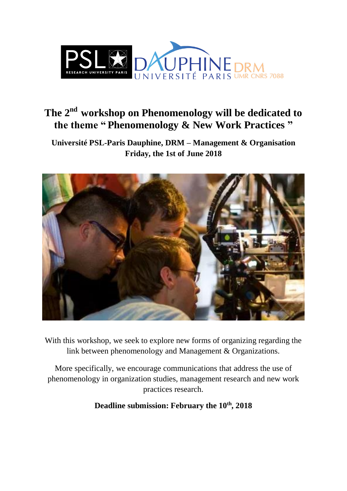

# **The 2nd workshop on Phenomenology will be dedicated to the theme " Phenomenology & New Work Practices "**

**Université PSL-Paris Dauphine, DRM – Management & Organisation Friday, the 1st of June 2018**



With this workshop, we seek to explore new forms of organizing regarding the link between phenomenology and Management & Organizations.

More specifically, we encourage communications that address the use of phenomenology in organization studies, management research and new work practices research.

**Deadline submission: February the 10th, 2018**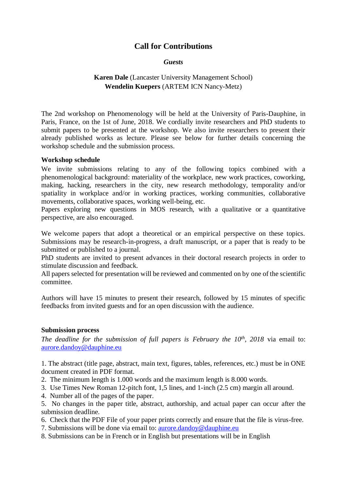## **Call for Contributions**

#### *Guests*

## **Karen Dale** (Lancaster University Management School) **Wendelin Kuepers** (ARTEM ICN Nancy-Metz)

The 2nd workshop on Phenomenology will be held at the University of Paris-Dauphine, in Paris, France, on the 1st of June, 2018. We cordially invite researchers and PhD students to submit papers to be presented at the workshop. We also invite researchers to present their already published works as lecture. Please see below for further details concerning the workshop schedule and the submission process.

### **Workshop schedule**

We invite submissions relating to any of the following topics combined with a phenomenological background: materiality of the workplace, new work practices, coworking, making, hacking, researchers in the city, new research methodology, temporality and/or spatiality in workplace and/or in working practices, working communities, collaborative movements, collaborative spaces, working well-being, etc.

Papers exploring new questions in MOS research, with a qualitative or a quantitative perspective, are also encouraged.

We welcome papers that adopt a theoretical or an empirical perspective on these topics. Submissions may be research-in-progress, a draft manuscript, or a paper that is ready to be submitted or published to a journal.

PhD students are invited to present advances in their doctoral research projects in order to stimulate discussion and feedback.

All papers selected for presentation will be reviewed and commented on by one of the scientific committee.

Authors will have 15 minutes to present their research, followed by 15 minutes of specific feedbacks from invited guests and for an open discussion with the audience.

## **Submission process**

*The deadline for the submission of full papers is February the 10 th, 2018* via email to: [aurore.dandoy@dauphine.eu](mailto:aurore.dandoy@dauphine.eu)

1. The abstract (title page, abstract, main text, figures, tables, references, etc.) must be in ONE document created in PDF format.

- 2. The minimum length is 1.000 words and the maximum length is 8.000 words.
- 3. Use Times New Roman 12-pitch font, 1,5 lines, and 1-inch (2.5 cm) margin all around.
- 4. Number all of the pages of the paper.

5. No changes in the paper title, abstract, authorship, and actual paper can occur after the submission deadline.

- 6. Check that the PDF File of your paper prints correctly and ensure that the file is virus-free.
- 7. Submissions will be done via email to: [aurore.dandoy@dauphine.eu](mailto:aurore.dandoy@dauphine.eu)
- 8. Submissions can be in French or in English but presentations will be in English